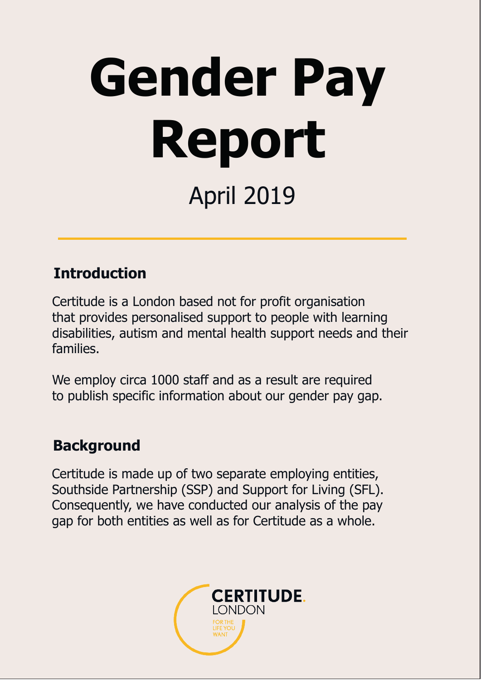# **Gender Pay Report** April 2019

#### **Introduction**

Certitude is a London based not for profit organisation that provides personalised support to people with learning disabilities, autism and mental health support needs and their families.

We employ circa 1000 staff and as a result are required to publish specific information about our gender pay gap.

#### **Background**

Certitude is made up of two separate employing entities, Southside Partnership (SSP) and Support for Living (SFL). Consequently, we have conducted our analysis of the pay gap for both entities as well as for Certitude as a whole.

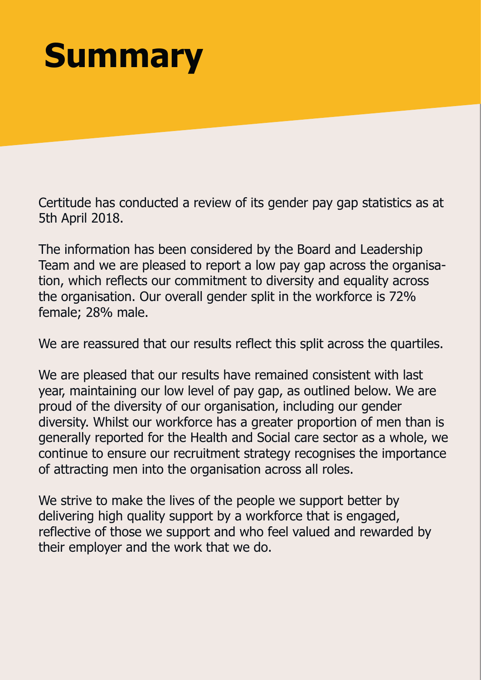# **Summary**

Certitude has conducted a review of its gender pay gap statistics as at 5th April 2018.

The information has been considered by the Board and Leadership Team and we are pleased to report a low pay gap across the organisation, which reflects our commitment to diversity and equality across the organisation. Our overall gender split in the workforce is 72% female; 28% male.

We are reassured that our results reflect this split across the quartiles.

We are pleased that our results have remained consistent with last year, maintaining our low level of pay gap, as outlined below. We are proud of the diversity of our organisation, including our gender diversity. Whilst our workforce has a greater proportion of men than is generally reported for the Health and Social care sector as a whole, we continue to ensure our recruitment strategy recognises the importance of attracting men into the organisation across all roles.

We strive to make the lives of the people we support better by delivering high quality support by a workforce that is engaged, reflective of those we support and who feel valued and rewarded by their employer and the work that we do.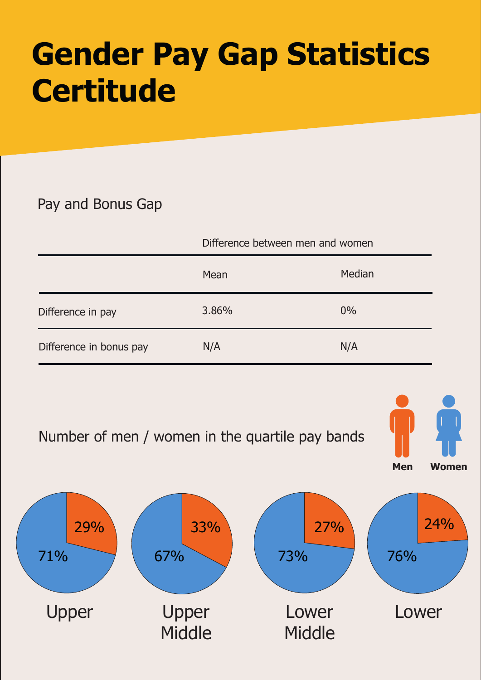### **Gender Pay Gap Statistics Certitude**

#### Pay and Bonus Gap

|                         | Difference between men and women |        |
|-------------------------|----------------------------------|--------|
|                         | Mean                             | Median |
| Difference in pay       | 3.86%                            | $0\%$  |
| Difference in bonus pay | N/A                              | N/A    |



**Middle** 

**Middle**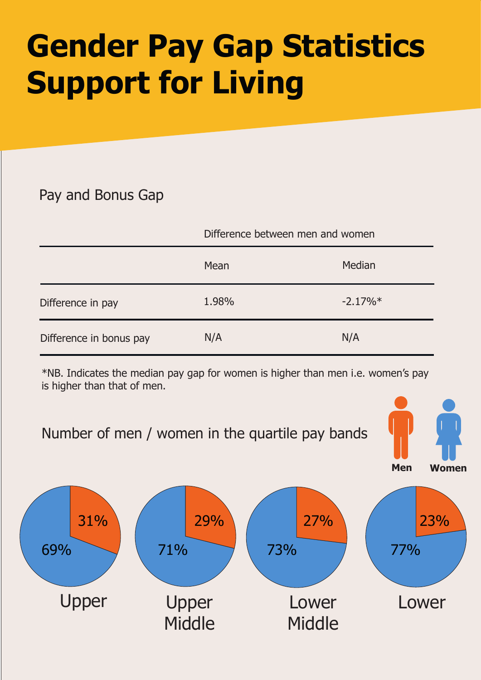# **Gender Pay Gap Statistics Support for Living**

#### Pay and Bonus Gap

|                         | Difference between men and women |            |
|-------------------------|----------------------------------|------------|
|                         | Mean                             | Median     |
| Difference in pay       | 1.98%                            | $-2.17\%*$ |
| Difference in bonus pay | N/A                              | N/A        |

\*NB. Indicates the median pay gap for women is higher than men i.e. women's pay is higher than that of men.